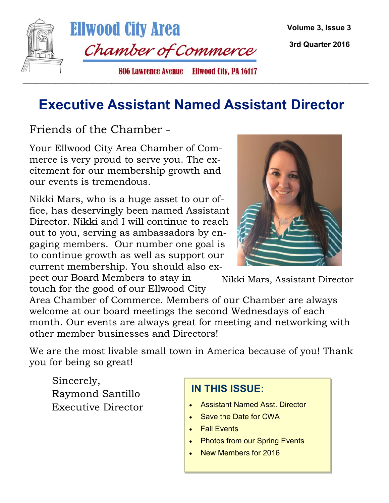

#### **Executive Assistant Named Assistant Director**

Friends of the Chamber -

Your Ellwood City Area Chamber of Commerce is very proud to serve you. The excitement for our membership growth and our events is tremendous.

Nikki Mars, who is a huge asset to our office, has deservingly been named Assistant Director. Nikki and I will continue to reach out to you, serving as ambassadors by engaging members. Our number one goal is to continue growth as well as support our current membership. You should also ex-

pect our Board Members to stay in touch for the good of our Ellwood City



Nikki Mars, Assistant Director

Area Chamber of Commerce. Members of our Chamber are always welcome at our board meetings the second Wednesdays of each month. Our events are always great for meeting and networking with other member businesses and Directors!

We are the most livable small town in America because of you! Thank you for being so great!

Sincerely, Raymond Santillo Executive Director

#### **IN THIS ISSUE:**

- Assistant Named Asst. Director
- Save the Date for CWA
- Fall Events
- Photos from our Spring Events
- New Members for 2016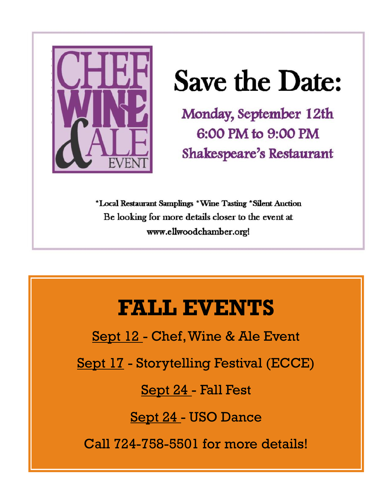

# **Save the Date:**

Monday, September 12th 6:00 PM to 9:00 PM Shakespeare's Restaurant

\*Local Restaurant Samplings \*Wine Tasting \*Silent Auction Be looking for more details closer to the event at www.ellwoodchamber.org!

### **FALL EVENTS**

Sept 12 - Chef, Wine & Ale Event

Sept 17 - Storytelling Festival (ECCE)

Sept 24 - Fall Fest

Sept 24 - USO Dance

Call 724-758-5501 for more details!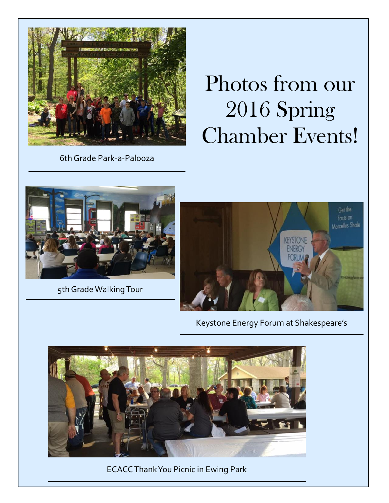

## Photos from our 2016 Spring Chamber Events!

6th Grade Park-a-Palooza



5th Grade Walking Tour



Keystone Energy Forum at Shakespeare's



ECACC Thank You Picnic in Ewing Park